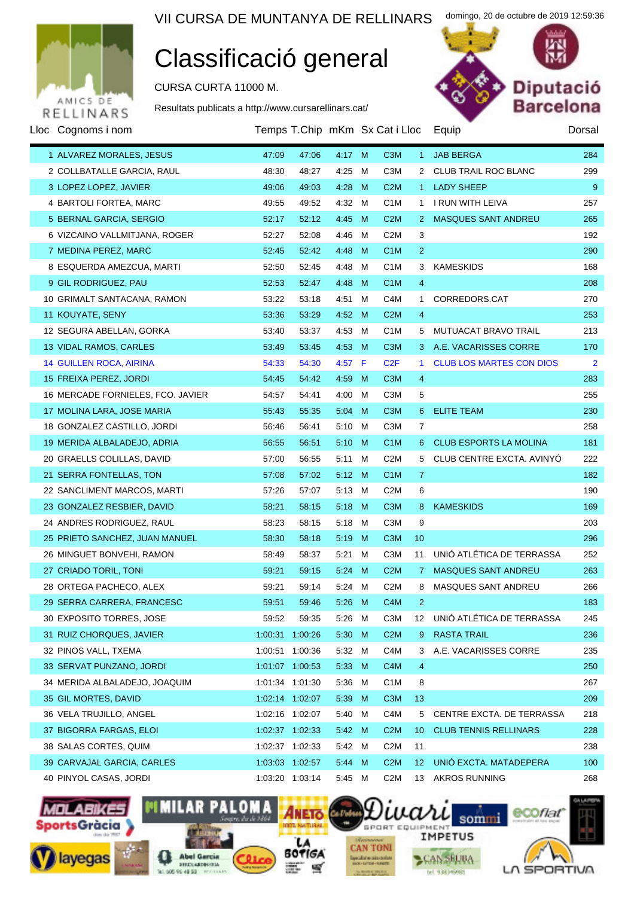

### Classificació general

CURSA CURTA 11000 M.

Resultats publicats a http://www.cursarellinars.cat/



domingo, 20 de octubre de 2019 12:59:36

| Lloc Cognoms i nom                |       |                 |                |   | Temps T.Chip mKm Sx Cat i Lloc |                 | Equip                           | Dorsal |
|-----------------------------------|-------|-----------------|----------------|---|--------------------------------|-----------------|---------------------------------|--------|
| 1 ALVAREZ MORALES, JESUS          | 47:09 | 47:06           | 4:17 M         |   | C <sub>3</sub> M               | 1               | <b>JAB BERGA</b>                | 284    |
| 2 COLLBATALLE GARCIA, RAUL        | 48:30 | 48:27           | 4:25 M         |   | C <sub>3</sub> M               |                 | 2 CLUB TRAIL ROC BLANC          | 299    |
| 3 LOPEZ LOPEZ, JAVIER             | 49:06 | 49:03           | 4:28           | M | C2M                            | $1 -$           | <b>LADY SHEEP</b>               | 9      |
| 4 BARTOLI FORTEA, MARC            | 49:55 | 49:52           | 4:32 M         |   | C <sub>1</sub> M               | 1.              | I RUN WITH LEIVA                | 257    |
| 5 BERNAL GARCIA, SERGIO           | 52:17 | 52:12           | 4:45 M         |   | C2M                            | 2               | MASQUES SANT ANDREU             | 265    |
| 6 VIZCAINO VALLMITJANA, ROGER     | 52:27 | 52:08           | 4:46 M         |   | C <sub>2</sub> M               | 3               |                                 | 192    |
| 7 MEDINA PEREZ, MARC              | 52:45 | 52:42           | 4:48           | M | C <sub>1</sub> M               | $\overline{2}$  |                                 | 290    |
| 8 ESQUERDA AMEZCUA, MARTI         | 52:50 | 52:45           | 4:48           | M | C <sub>1</sub> M               | 3               | <b>KAMESKIDS</b>                | 168    |
| 9 GIL RODRIGUEZ, PAU              | 52:53 | 52:47           | 4:48           | M | C <sub>1</sub> M               | $\overline{4}$  |                                 | 208    |
| 10 GRIMALT SANTACANA, RAMON       | 53:22 | 53:18           | 4:51 M         |   | C <sub>4</sub> M               | $\mathbf{1}$    | CORREDORS.CAT                   | 270    |
| 11 KOUYATE, SENY                  | 53:36 | 53:29           | 4:52           | M | C2M                            | $\overline{4}$  |                                 | 253    |
| 12 SEGURA ABELLAN, GORKA          | 53:40 | 53:37           | 4:53 M         |   | C <sub>1</sub> M               | 5.              | MUTUACAT BRAVO TRAIL            | 213    |
| 13 VIDAL RAMOS, CARLES            | 53:49 | 53:45           | 4:53           | M | C <sub>3</sub> M               |                 | 3 A.E. VACARISSES CORRE         | 170    |
| <b>14 GUILLEN ROCA, AIRINA</b>    | 54:33 | 54:30           | $4:57$ F       |   | C2F                            | 1.              | <b>CLUB LOS MARTES CON DIOS</b> | 2      |
| 15 FREIXA PEREZ, JORDI            | 54:45 | 54:42           | 4:59           | M | C <sub>3</sub> M               | $\overline{4}$  |                                 | 283    |
| 16 MERCADE FORNIELES, FCO. JAVIER | 54:57 | 54:41           | 4:00           | M | C <sub>3</sub> M               | 5               |                                 | 255    |
| 17 MOLINA LARA, JOSE MARIA        | 55:43 | 55:35           | $5:04$ M       |   | C <sub>3</sub> M               | 6               | <b>ELITE TEAM</b>               | 230    |
| 18 GONZALEZ CASTILLO, JORDI       | 56:46 | 56:41           | 5:10 M         |   | C <sub>3</sub> M               | 7               |                                 | 258    |
| 19 MERIDA ALBALADEJO, ADRIA       | 56:55 | 56:51           | 5:10           | M | C <sub>1</sub> M               | 6.              | <b>CLUB ESPORTS LA MOLINA</b>   | 181    |
| 20 GRAELLS COLILLAS, DAVID        | 57:00 | 56:55           | 5:11 M         |   | C <sub>2</sub> M               | 5               | CLUB CENTRE EXCTA. AVINYO       | 222    |
| 21 SERRA FONTELLAS, TON           | 57:08 | 57:02           | 5:12 M         |   | C <sub>1</sub> M               | 7               |                                 | 182    |
| 22 SANCLIMENT MARCOS, MARTI       | 57:26 | 57:07           | $5:13 \quad M$ |   | C <sub>2</sub> M               | 6               |                                 | 190    |
| 23 GONZALEZ RESBIER, DAVID        | 58:21 | 58:15           | 5.18           | M | C <sub>3</sub> M               | 8               | <b>KAMESKIDS</b>                | 169    |
| 24 ANDRES RODRIGUEZ, RAUL         | 58:23 | 58:15           | 5:18 M         |   | C <sub>3</sub> M               | 9               |                                 | 203    |
| 25 PRIETO SANCHEZ, JUAN MANUEL    | 58:30 | 58:18           | 5.19           | M | C <sub>3</sub> M               | 10              |                                 | 296    |
| 26 MINGUET BONVEHI, RAMON         | 58:49 | 58:37           | 5:21 M         |   | C <sub>3</sub> M               | 11              | UNIÓ ATLÉTICA DE TERRASSA       | 252    |
| 27 CRIADO TORIL, TONI             | 59:21 | 59:15           | 5:24           | M | C2M                            | 7 <sup>7</sup>  | <b>MASQUES SANT ANDREU</b>      | 263    |
| 28 ORTEGA PACHECO, ALEX           | 59:21 | 59:14           | 5:24 M         |   | C <sub>2</sub> M               | 8               | MASQUES SANT ANDREU             | 266    |
| 29 SERRA CARRERA, FRANCESC        | 59:51 | 59:46           |                |   | 5:26 M C4M                     | $\mathbf{2}$    |                                 | 183    |
| 30 EXPOSITO TORRES, JOSE          | 59:52 | 59:35           | 5:26 M         |   | C3M                            | 12              | UNIÓ ATLÉTICA DE TERRASSA       | 245    |
| 31 RUIZ CHORQUES, JAVIER          |       | 1:00:31 1:00:26 | 5:30           | M | C2M                            | 9               | <b>RASTA TRAIL</b>              | 236    |
| 32 PINOS VALL, TXEMA              |       | 1:00:51 1:00:36 | 5:32 M         |   | C <sub>4</sub> M               | 3.              | A.E. VACARISSES CORRE           | 235    |
| 33 SERVAT PUNZANO, JORDI          |       | 1:01:07 1:00:53 | 5:33 M         |   | C <sub>4</sub> M               | 4               |                                 | 250    |
| 34 MERIDA ALBALADEJO, JOAQUIM     |       | 1:01:34 1:01:30 | 5:36 M         |   | C <sub>1</sub> M               | 8               |                                 | 267    |
| 35 GIL MORTES, DAVID              |       | 1:02:14 1:02:07 | 5:39           | M | C <sub>3</sub> M               | 13              |                                 | 209    |
| 36 VELA TRUJILLO, ANGEL           |       | 1:02:16 1:02:07 | 5:40 M         |   | C <sub>4</sub> M               | 5               | CENTRE EXCTA. DE TERRASSA       | 218    |
| 37 BIGORRA FARGAS, ELOI           |       | 1:02:37 1:02:33 | 5:42 M         |   | C2M                            | 10              | <b>CLUB TENNIS RELLINARS</b>    | 228    |
| 38 SALAS CORTES, QUIM             |       | 1:02:37 1:02:33 | 5:42 M         |   | C <sub>2</sub> M               | 11              |                                 | 238    |
| 39 CARVAJAL GARCIA, CARLES        |       | 1:03:03 1:02:57 | $5:44 \, M$    |   | C2M                            | 12 <sup>°</sup> | UNIÓ EXCTA. MATADEPERA          | 100    |
| 40 PINYOL CASAS, JORDI            |       | 1:03:20 1:03:14 | 5:45 M         |   | C <sub>2</sub> M               | 13              | <b>AKROS RUNNING</b>            | 268    |

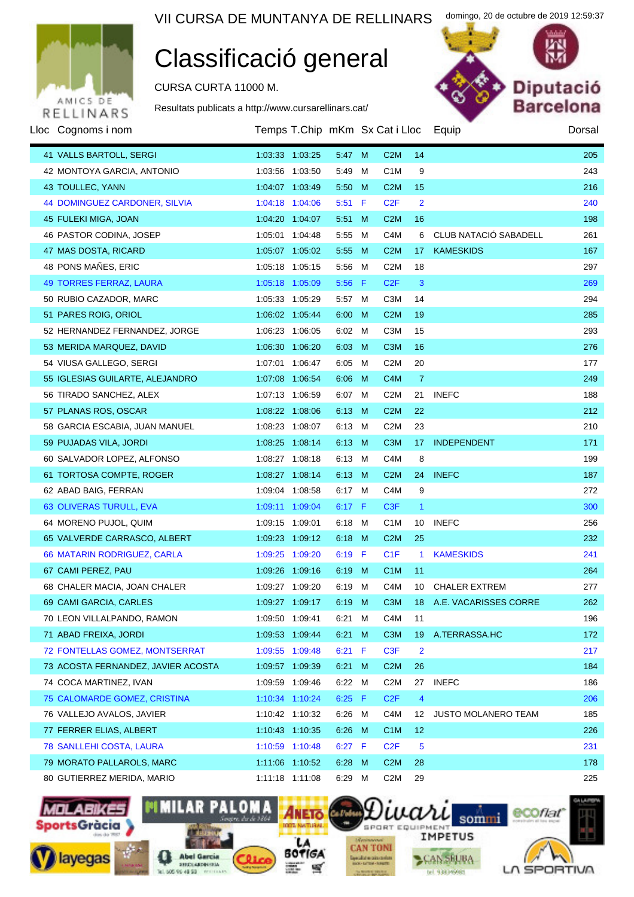

# Classificació general

CURSA CURTA 11000 M.

Resultats publicats a http://www.cursarellinars.cat/



domingo, 20 de octubre de 2019 12:59:37

| Lloc Cognoms i nom                   |                 | Temps T.Chip mKm Sx Cat i Lloc |                |   |                  |                | Equip                        | Dorsal |
|--------------------------------------|-----------------|--------------------------------|----------------|---|------------------|----------------|------------------------------|--------|
| 41 VALLS BARTOLL, SERGI              | 1:03:33 1:03:25 |                                | 5:47 M         |   | C2M              | 14             |                              | 205    |
| 42 MONTOYA GARCIA, ANTONIO           | 1:03:56 1:03:50 |                                | 5:49           | M | C <sub>1</sub> M | 9              |                              | 243    |
| 43 TOULLEC, YANN                     | 1:04:07 1:03:49 |                                | 5:50 M         |   | C2M              | 15             |                              | 216    |
| <b>44 DOMINGUEZ CARDONER, SILVIA</b> | 1:04:18 1:04:06 |                                | $5:51$ F       |   | C2F              | $\overline{2}$ |                              | 240    |
| 45 FULEKI MIGA, JOAN                 | 1:04:20 1:04:07 |                                | $5:51$ M       |   | C2M              | 16             |                              | 198    |
| 46 PASTOR CODINA, JOSEP              | 1:05:01 1:04:48 |                                | 5:55           | M | C <sub>4</sub> M | 6              | CLUB NATACIÓ SABADELL        | 261    |
| 47 MAS DOSTA, RICARD                 | 1:05:07 1:05:02 |                                | 5:55           | M | C2M              | 17             | <b>KAMESKIDS</b>             | 167    |
| 48 PONS MAÑES, ERIC                  | 1:05:18 1:05:15 |                                | 5:56           | M | C <sub>2</sub> M | 18             |                              | 297    |
| <b>49 TORRES FERRAZ, LAURA</b>       | 1:05:18 1:05:09 |                                | $5:56$ F       |   | C2F              | 3              |                              | 269    |
| 50 RUBIO CAZADOR, MARC               | 1:05:33 1:05:29 |                                | 5:57 M         |   | C <sub>3</sub> M | 14             |                              | 294    |
| 51 PARES ROIG, ORIOL                 | 1:06:02 1:05:44 |                                | 6:00 M         |   | C2M              | 19             |                              | 285    |
| 52 HERNANDEZ FERNANDEZ, JORGE        | 1:06:23 1:06:05 |                                | 6:02 M         |   | C <sub>3</sub> M | 15             |                              | 293    |
| 53 MERIDA MARQUEZ, DAVID             | 1:06:30 1:06:20 |                                | $6:03$ M       |   | C <sub>3</sub> M | 16             |                              | 276    |
| 54 VIUSA GALLEGO, SERGI              | 1:07:01 1:06:47 |                                | 6:05 M         |   | C <sub>2</sub> M | 20             |                              | 177    |
| 55 IGLESIAS GUILARTE, ALEJANDRO      | 1:07:08 1:06:54 |                                | 6:06 M         |   | C <sub>4</sub> M | 7              |                              | 249    |
| 56 TIRADO SANCHEZ, ALEX              | 1:07:13 1:06:59 |                                | 6:07 M         |   | C <sub>2</sub> M | 21             | <b>INEFC</b>                 | 188    |
| 57 PLANAS ROS, OSCAR                 | 1:08:22 1:08:06 |                                | 6:13 M         |   | C2M              | 22             |                              | 212    |
| 58 GARCIA ESCABIA, JUAN MANUEL       | 1:08:23 1:08:07 |                                | 6:13 M         |   | C <sub>2</sub> M | 23             |                              | 210    |
| 59 PUJADAS VILA, JORDI               | 1:08:25 1:08:14 |                                | $6:13 \quad M$ |   | C <sub>3</sub> M | 17             | <b>INDEPENDENT</b>           | 171    |
| 60 SALVADOR LOPEZ, ALFONSO           | 1:08:27 1:08:18 |                                | 6:13 M         |   | C <sub>4</sub> M | 8              |                              | 199    |
| 61 TORTOSA COMPTE, ROGER             | 1:08:27 1:08:14 |                                | $6:13 \quad M$ |   | C2M              | 24             | <b>INEFC</b>                 | 187    |
| 62 ABAD BAIG, FERRAN                 | 1:09:04 1:08:58 |                                | 6:17 M         |   | C <sub>4</sub> M | 9              |                              | 272    |
| 63 OLIVERAS TURULL, EVA              | 1:09:11 1:09:04 |                                | 6:17 $F$       |   | C <sub>3</sub> F | $\mathbf{1}$   |                              | 300    |
| 64 MORENO PUJOL, QUIM                | 1:09:15 1:09:01 |                                | 6:18 M         |   | C <sub>1</sub> M | 10             | <b>INEFC</b>                 | 256    |
| 65 VALVERDE CARRASCO, ALBERT         | 1:09:23 1:09:12 |                                | $6:18$ M       |   | C2M              | 25             |                              | 232    |
| 66 MATARIN RODRIGUEZ, CARLA          | 1:09:25 1:09:20 |                                | $6:19$ F       |   | C <sub>1</sub> F | 1.             | <b>KAMESKIDS</b>             | 241    |
| 67 CAMI PEREZ, PAU                   | 1:09:26 1:09:16 |                                | 6:19           | M | C <sub>1</sub> M | 11             |                              | 264    |
| 68 CHALER MACIA, JOAN CHALER         | 1:09:27 1:09:20 |                                | 6:19 M         |   | C <sub>4</sub> M | 10             | <b>CHALER EXTREM</b>         | 277    |
| 69 CAMI GARCIA, CARLES               |                 | 1:09:27 1:09:17 6:19 M         |                |   |                  |                | C3M 18 A.E. VACARISSES CORRE | 262    |
| 70 LEON VILLALPANDO, RAMON           | 1:09:50 1:09:41 |                                | 6:21 M         |   | C4M              | 11             |                              | 196    |
| 71 ABAD FREIXA, JORDI                | 1:09:53 1:09:44 |                                | 6:21 M         |   | C <sub>3</sub> M | 19             | A.TERRASSA.HC                | 172    |
| 72 FONTELLAS GOMEZ, MONTSERRAT       | 1:09:55 1:09:48 |                                | $6:21$ F       |   | C <sub>3</sub> F | 2              |                              | 217    |
| 73 ACOSTA FERNANDEZ, JAVIER ACOSTA   | 1:09:57 1:09:39 |                                | 6:21 M         |   | C <sub>2</sub> M | 26             |                              | 184    |
| 74 COCA MARTINEZ, IVAN               | 1:09:59 1:09:46 |                                | 6:22 M         |   | C <sub>2</sub> M | 27             | <b>INEFC</b>                 | 186    |
| 75 CALOMARDE GOMEZ, CRISTINA         | 1:10:34 1:10:24 |                                | $6:25$ F       |   | C2F              | 4              |                              | 206    |
| 76 VALLEJO AVALOS, JAVIER            | 1:10:42 1:10:32 |                                | 6:26 M         |   | C <sub>4</sub> M | 12             | JUSTO MOLANERO TEAM          | 185    |
| 77 FERRER ELIAS, ALBERT              | 1:10:43 1:10:35 |                                | 6:26 M         |   | C <sub>1</sub> M | 12             |                              | 226    |
| 78 SANLLEHI COSTA, LAURA             | 1:10:59 1:10:48 |                                | 6:27 F         |   | C <sub>2</sub> F | 5              |                              | 231    |
| 79 MORATO PALLAROLS, MARC            | 1:11:06 1:10:52 |                                | 6:28 M         |   | C <sub>2</sub> M | 28             |                              | 178    |
| 80 GUTIERREZ MERIDA, MARIO           | 1:11:18 1:11:08 |                                | 6:29 M         |   | C <sub>2</sub> M | 29             |                              | 225    |

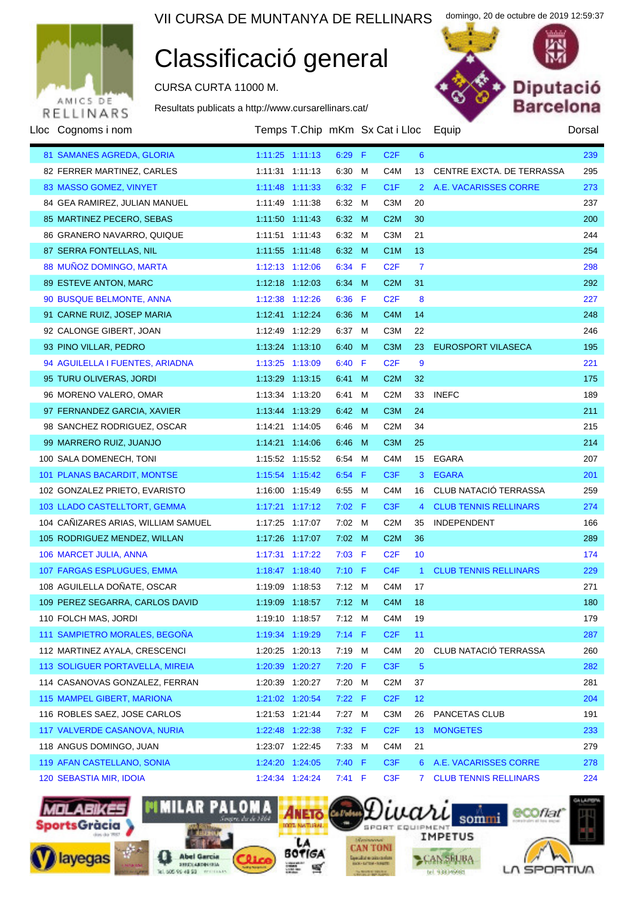

### Classificació general

CURSA CURTA 11000 M.

Resultats publicats a http://www.cursarellinars.cat/



domingo, 20 de octubre de 2019 12:59:37

| Lloc Cognoms i nom                  |                     | Temps T.Chip mKm Sx Cat i Lloc |                |   |                  |                | Equip                        | Dorsal |
|-------------------------------------|---------------------|--------------------------------|----------------|---|------------------|----------------|------------------------------|--------|
| 81 SAMANES AGREDA, GLORIA           | 1:11:25 1:11:13     |                                | $6:29$ F       |   | C2F              | 6              |                              | 239    |
| 82 FERRER MARTINEZ, CARLES          | 1:11:31 1:11:13     |                                | 6:30 M         |   | C <sub>4</sub> M | 13             | CENTRE EXCTA. DE TERRASSA    | 295    |
| 83 MASSO GOMEZ, VINYET              | 1:11:48 1:11:33     |                                | 6:32 F         |   | C1F              | 2 <sup>1</sup> | A.E. VACARISSES CORRE        | 273    |
| 84 GEA RAMIREZ, JULIAN MANUEL       | 1:11:49 1:11:38     |                                | 6:32 M         |   | C <sub>3</sub> M | 20             |                              | 237    |
| 85 MARTINEZ PECERO, SEBAS           | 1:11:50 1:11:43     |                                | 6:32 M         |   | C2M              | 30             |                              | 200    |
| 86 GRANERO NAVARRO, QUIQUE          | 1:11:51 1:11:43     |                                | 6:32 M         |   | C <sub>3</sub> M | 21             |                              | 244    |
| 87 SERRA FONTELLAS, NIL             | 1:11:55  1:11:48    |                                | 6:32 M         |   | C <sub>1</sub> M | 13             |                              | 254    |
| 88 MUÑOZ DOMINGO, MARTA             | 1:12:13 1:12:06     |                                | 6:34 F         |   | C <sub>2</sub> F | $\overline{7}$ |                              | 298    |
| 89 ESTEVE ANTON, MARC               | 1:12:18 1:12:03     |                                | 6:34 M         |   | C <sub>2</sub> M | 31             |                              | 292    |
| 90 BUSQUE BELMONTE, ANNA            | 1:12:38 1:12:26     |                                | 6:36 F         |   | C <sub>2</sub> F | 8              |                              | 227    |
| 91 CARNE RUIZ, JOSEP MARIA          | 1:12:41 1:12:24     |                                | 6:36           | M | C <sub>4</sub> M | 14             |                              | 248    |
| 92 CALONGE GIBERT, JOAN             | 1:12:49 1:12:29     |                                | 6:37 M         |   | C <sub>3</sub> M | 22             |                              | 246    |
| 93 PINO VILLAR, PEDRO               | 1:13:24 1:13:10     |                                | 6:40 M         |   | C <sub>3</sub> M | 23             | <b>EUROSPORT VILASECA</b>    | 195    |
| 94 AGUILELLA I FUENTES, ARIADNA     | 1:13:25 1:13:09     |                                | 6:40 F         |   | C <sub>2</sub> F | 9              |                              | 221    |
| 95 TURU OLIVERAS, JORDI             | 1:13:29 1:13:15     |                                | $6:41$ M       |   | C <sub>2</sub> M | 32             |                              | 175    |
| 96 MORENO VALERO, OMAR              | 1:13:34 1:13:20     |                                | 6:41 M         |   | C <sub>2</sub> M | 33             | <b>INEFC</b>                 | 189    |
| 97 FERNANDEZ GARCIA, XAVIER         | 1:13:44 1:13:29     |                                | 6:42 M         |   | C <sub>3</sub> M | 24             |                              | 211    |
| 98 SANCHEZ RODRIGUEZ, OSCAR         | 1:14:21 1:14:05     |                                | 6:46           | M | C <sub>2</sub> M | 34             |                              | 215    |
| 99 MARRERO RUIZ, JUANJO             | 1:14:21 1:14:06     |                                | 6:46           | M | C <sub>3</sub> M | 25             |                              | 214    |
| 100 SALA DOMENECH, TONI             | 1:15:52 1:15:52     |                                | 6:54 M         |   | C <sub>4</sub> M | 15             | <b>EGARA</b>                 | 207    |
| 101 PLANAS BACARDIT, MONTSE         | 1:15:54 1:15:42     |                                | 6:54 F         |   | C <sub>3</sub> F | 3              | <b>EGARA</b>                 | 201    |
| 102 GONZALEZ PRIETO, EVARISTO       | 1:16:00 1:15:49     |                                | 6:55           | M | C <sub>4</sub> M | 16             | CLUB NATACIÓ TERRASSA        | 259    |
| 103 LLADO CASTELLTORT, GEMMA        | $1:17:21$ $1:17:12$ |                                | $7:02$ F       |   | C <sub>3</sub> F | 4              | <b>CLUB TENNIS RELLINARS</b> | 274    |
| 104 CAÑIZARES ARIAS, WILLIAM SAMUEL | 1:17:25 1:17:07     |                                | 7:02 M         |   | C <sub>2</sub> M | 35             | INDEPENDENT                  | 166    |
| 105 RODRIGUEZ MENDEZ, WILLAN        | 1:17:26 1:17:07     |                                | $7:02 \quad M$ |   | C2M              | 36             |                              | 289    |
| 106 MARCET JULIA, ANNA              | 1:17:31 1:17:22     |                                | $7:03$ F       |   | C <sub>2</sub> F | 10             |                              | 174    |
| 107 FARGAS ESPLUGUES, EMMA          | 1:18:47 1:18:40     |                                | $7:10$ F       |   | C4F              | $\mathbf{1}$   | <b>CLUB TENNIS RELLINARS</b> | 229    |
| 108 AGUILELLA DOÑATE, OSCAR         | 1:19:09 1:18:53     |                                | $7:12 \quad M$ |   | C4M              | 17             |                              | 271    |
| 109 PEREZ SEGARRA, CARLOS DAVID     | 1:19:09 1:18:57     |                                | 7:12 M         |   | C <sub>4</sub> M | 18             |                              | 180    |
| 110 FOLCH MAS, JORDI                | 1:19:10 1:18:57     |                                | 7:12 M         |   | C <sub>4</sub> M | 19             |                              | 179    |
| 111 SAMPIETRO MORALES, BEGOÑA       | 1:19:34 1:19:29     |                                | $7:14$ F       |   | C <sub>2</sub> F | 11             |                              | 287    |
| 112 MARTINEZ AYALA, CRESCENCI       | 1:20:25 1:20:13     |                                | 7:19 M         |   | C4M              | 20             | CLUB NATACIÓ TERRASSA        | 260    |
| 113 SOLIGUER PORTAVELLA, MIREIA     | 1:20:39 1:20:27     |                                | $7:20$ F       |   | C <sub>3</sub> F | $\sqrt{5}$     |                              | 282    |
| 114 CASANOVAS GONZALEZ, FERRAN      | 1:20:39 1:20:27     |                                | 7:20           | M | C <sub>2</sub> M | 37             |                              | 281    |
| 115 MAMPEL GIBERT, MARIONA          | 1:21:02 1:20:54     |                                | $7:22$ F       |   | C <sub>2</sub> F | 12             |                              | 204    |
| 116 ROBLES SAEZ, JOSE CARLOS        | 1:21:53 1:21:44     |                                | 7:27 M         |   | C <sub>3</sub> M | 26             | PANCETAS CLUB                | 191    |
| 117 VALVERDE CASANOVA, NURIA        | 1:22:48 1:22:38     |                                | $7:32$ F       |   | C <sub>2</sub> F | 13             | <b>MONGETES</b>              | 233    |
| 118 ANGUS DOMINGO, JUAN             | 1:23:07 1:22:45     |                                | 7:33 M         |   | C4M              | 21             |                              | 279    |
| 119 AFAN CASTELLANO, SONIA          | 1:24:20 1:24:05     |                                | 7:40 F         |   | C <sub>3</sub> F | 6              | A.E. VACARISSES CORRE        | 278    |
| 120 SEBASTIA MIR, IDOIA             | 1:24:34 1:24:24     |                                | 7:41 F         |   | C <sub>3</sub> F | 7              | <b>CLUB TENNIS RELLINARS</b> | 224    |